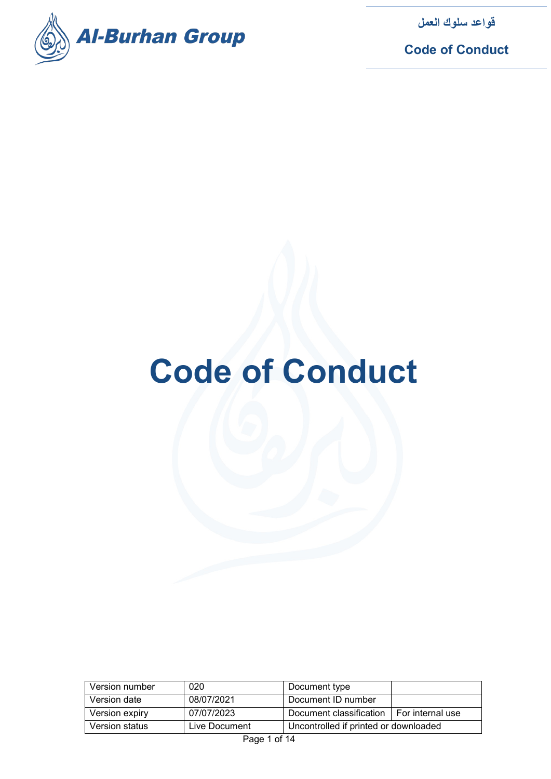

**Code of Conduct**

# **Code of Conduct**

| Version number | 020           | Document type                              |  |
|----------------|---------------|--------------------------------------------|--|
| Version date   | 08/07/2021    | Document ID number                         |  |
| Version expiry | 07/07/2023    | Document classification   For internal use |  |
| Version status | Live Document | Uncontrolled if printed or downloaded      |  |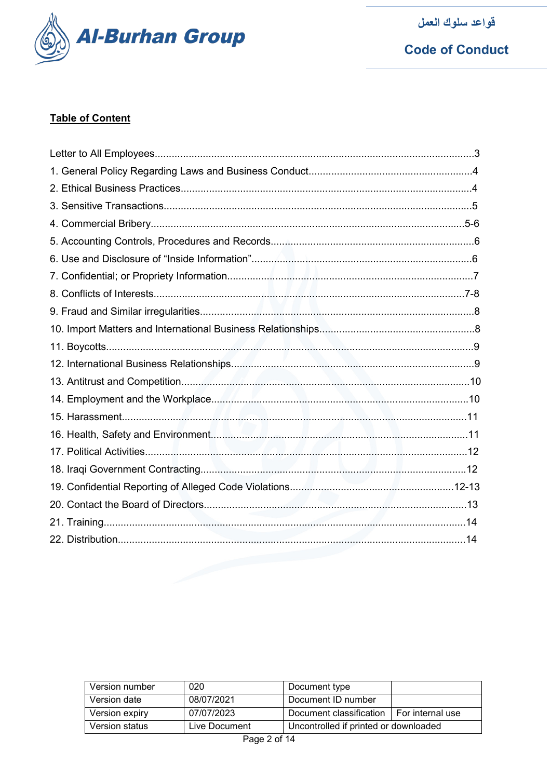

**Code of Conduct** 

# **Table of Content**

| Version number | 020           | Document type                         |                    |
|----------------|---------------|---------------------------------------|--------------------|
| Version date   | 08/07/2021    | Document ID number                    |                    |
| Version expiry | 07/07/2023    | Document classification               | I For internal use |
| Version status | Live Document | Uncontrolled if printed or downloaded |                    |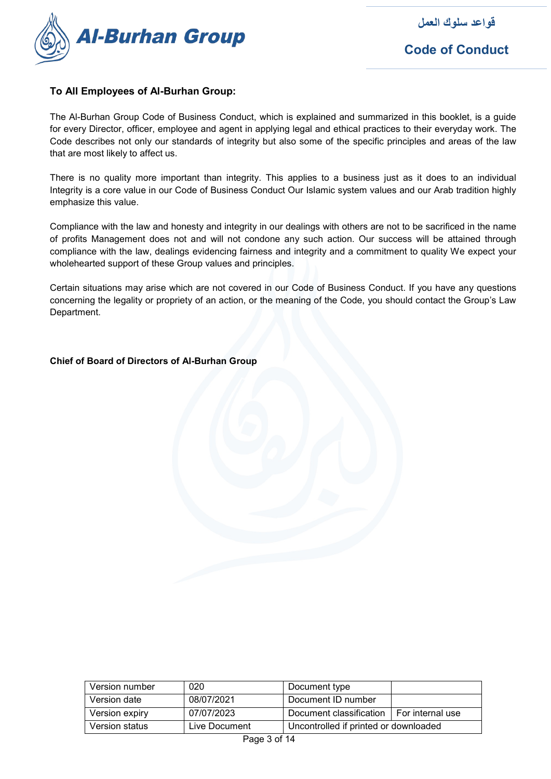

**Code of Conduct**

# **To All Employees of Al-Burhan Group:**

The Al-Burhan Group Code of Business Conduct, which is explained and summarized in this booklet, is a guide for every Director, officer, employee and agent in applying legal and ethical practices to their everyday work. The Code describes not only our standards of integrity but also some of the specific principles and areas of the law that are most likely to affect us.

There is no quality more important than integrity. This applies to a business just as it does to an individual Integrity is a core value in our Code of Business Conduct Our Islamic system values and our Arab tradition highly emphasize this value.

Compliance with the law and honesty and integrity in our dealings with others are not to be sacrificed in the name of profits Management does not and will not condone any such action. Our success will be attained through compliance with the law, dealings evidencing fairness and integrity and a commitment to quality We expect your wholehearted support of these Group values and principles.

Certain situations may arise which are not covered in our Code of Business Conduct. If you have any questions concerning the legality or propriety of an action, or the meaning of the Code, you should contact the Group's Law Department.

#### **Chief of Board of Directors of Al-Burhan Group**

| Version number | 020           | Document type                         |                    |
|----------------|---------------|---------------------------------------|--------------------|
| Version date   | 08/07/2021    | Document ID number                    |                    |
| Version expiry | 07/07/2023    | Document classification               | I For internal use |
| Version status | Live Document | Uncontrolled if printed or downloaded |                    |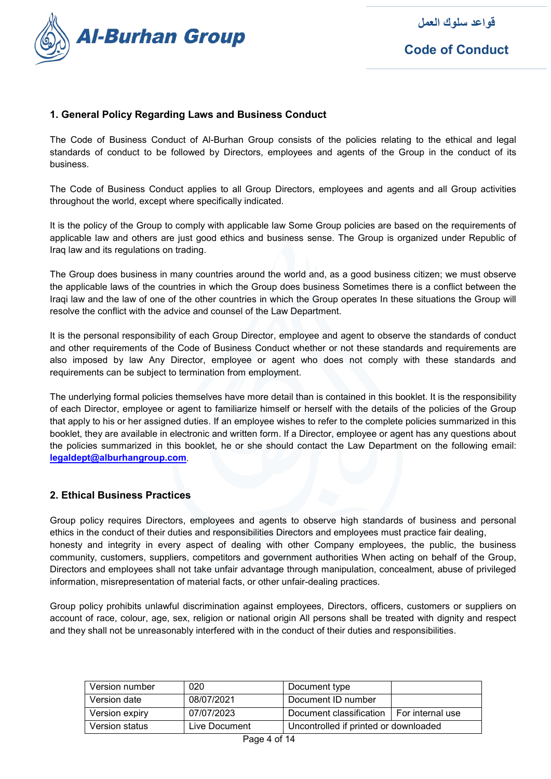

# **1. General Policy Regarding Laws and Business Conduct**

The Code of Business Conduct of Al-Burhan Group consists of the policies relating to the ethical and legal standards of conduct to be followed by Directors, employees and agents of the Group in the conduct of its business.

The Code of Business Conduct applies to all Group Directors, employees and agents and all Group activities throughout the world, except where specifically indicated.

It is the policy of the Group to comply with applicable law Some Group policies are based on the requirements of applicable law and others are just good ethics and business sense. The Group is organized under Republic of Iraq law and its regulations on trading.

The Group does business in many countries around the world and, as a good business citizen; we must observe the applicable laws of the countries in which the Group does business Sometimes there is a conflict between the Iraqi law and the law of one of the other countries in which the Group operates In these situations the Group will resolve the conflict with the advice and counsel of the Law Department.

It is the personal responsibility of each Group Director, employee and agent to observe the standards of conduct and other requirements of the Code of Business Conduct whether or not these standards and requirements are also imposed by law Any Director, employee or agent who does not comply with these standards and requirements can be subject to termination from employment.

The underlying formal policies themselves have more detail than is contained in this booklet. It is the responsibility of each Director, employee or agent to familiarize himself or herself with the details of the policies of the Group that apply to his or her assigned duties. If an employee wishes to refer to the complete policies summarized in this booklet, they are available in electronic and written form. If a Director, employee or agent has any questions about the policies summarized in this booklet, he or she should contact the Law Department on the following email: **[legaldept@alburhangroup.com](mailto:legaldept@alburhangroup.com)**.

#### **2. Ethical Business Practices**

Group policy requires Directors, employees and agents to observe high standards of business and personal ethics in the conduct of their duties and responsibilities Directors and employees must practice fair dealing, honesty and integrity in every aspect of dealing with other Company employees, the public, the business community, customers, suppliers, competitors and government authorities When acting on behalf of the Group, Directors and employees shall not take unfair advantage through manipulation, concealment, abuse of privileged information, misrepresentation of material facts, or other unfair-dealing practices.

Group policy prohibits unlawful discrimination against employees, Directors, officers, customers or suppliers on account of race, colour, age, sex, religion or national origin All persons shall be treated with dignity and respect and they shall not be unreasonably interfered with in the conduct of their duties and responsibilities.

| Version number | 020           | Document type                         |                    |
|----------------|---------------|---------------------------------------|--------------------|
| Version date   | 08/07/2021    | Document ID number                    |                    |
| Version expiry | 07/07/2023    | Document classification               | I For internal use |
| Version status | Live Document | Uncontrolled if printed or downloaded |                    |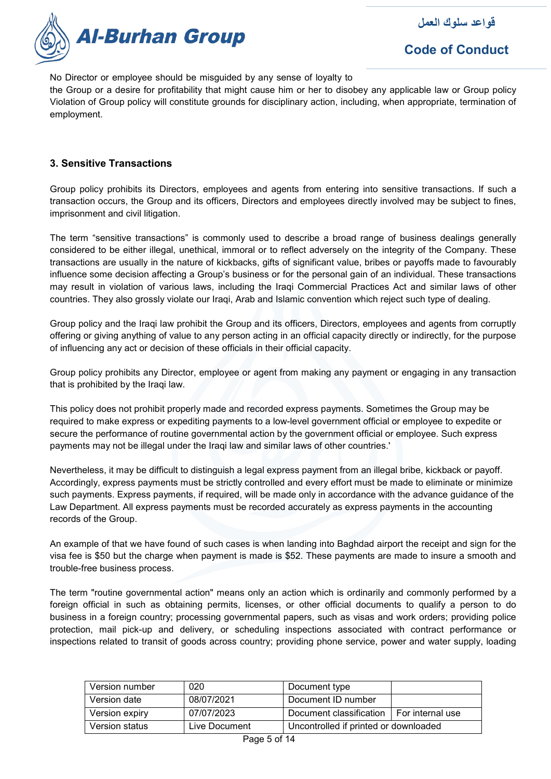

No Director or employee should be misguided by any sense of loyalty to

the Group or a desire for profitability that might cause him or her to disobey any applicable law or Group policy Violation of Group policy will constitute grounds for disciplinary action, including, when appropriate, termination of employment.

#### **3. Sensitive Transactions**

Group policy prohibits its Directors, employees and agents from entering into sensitive transactions. If such a transaction occurs, the Group and its officers, Directors and employees directly involved may be subject to fines, imprisonment and civil litigation.

The term "sensitive transactions" is commonly used to describe a broad range of business dealings generally considered to be either illegal, unethical, immoral or to reflect adversely on the integrity of the Company. These transactions are usually in the nature of kickbacks, gifts of significant value, bribes or payoffs made to favourably influence some decision affecting a Group's business or for the personal gain of an individual. These transactions may result in violation of various laws, including the Iraqi Commercial Practices Act and similar laws of other countries. They also grossly violate our Iraqi, Arab and Islamic convention which reject such type of dealing.

Group policy and the Iraqi law prohibit the Group and its officers, Directors, employees and agents from corruptly offering or giving anything of value to any person acting in an official capacity directly or indirectly, for the purpose of influencing any act or decision of these officials in their official capacity.

Group policy prohibits any Director, employee or agent from making any payment or engaging in any transaction that is prohibited by the Iraqi law.

This policy does not prohibit properly made and recorded express payments. Sometimes the Group may be required to make express or expediting payments to a low-level government official or employee to expedite or secure the performance of routine governmental action by the government official or employee. Such express payments may not be illegal under the Iraqi law and similar laws of other countries.'

Nevertheless, it may be difficult to distinguish a legal express payment from an illegal bribe, kickback or payoff. Accordingly, express payments must be strictly controlled and every effort must be made to eliminate or minimize such payments. Express payments, if required, will be made only in accordance with the advance guidance of the Law Department. All express payments must be recorded accurately as express payments in the accounting records of the Group.

An example of that we have found of such cases is when landing into Baghdad airport the receipt and sign for the visa fee is \$50 but the charge when payment is made is \$52. These payments are made to insure a smooth and trouble-free business process.

The term "routine governmental action" means only an action which is ordinarily and commonly performed by a foreign official in such as obtaining permits, licenses, or other official documents to qualify a person to do business in a foreign country; processing governmental papers, such as visas and work orders; providing police protection, mail pick-up and delivery, or scheduling inspections associated with contract performance or inspections related to transit of goods across country; providing phone service, power and water supply, loading

| Version number | 020           | Document type                         |                    |
|----------------|---------------|---------------------------------------|--------------------|
| Version date   | 08/07/2021    | Document ID number                    |                    |
| Version expiry | 07/07/2023    | Document classification               | I For internal use |
| Version status | Live Document | Uncontrolled if printed or downloaded |                    |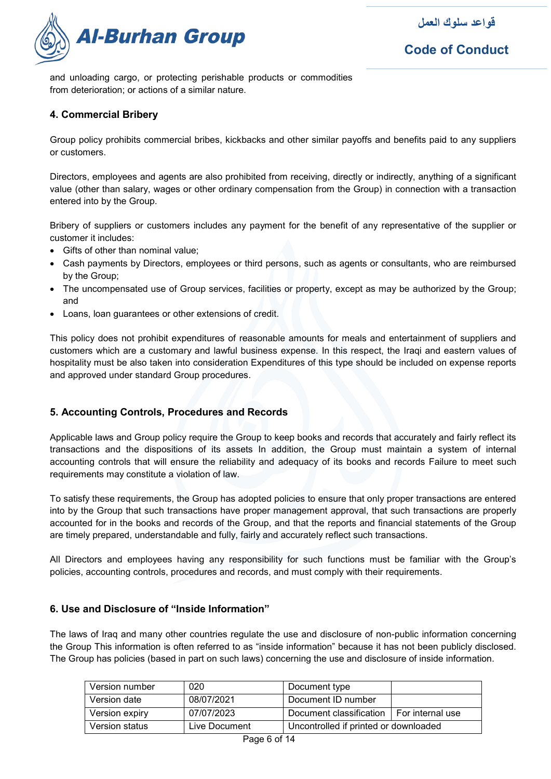



and unloading cargo, or protecting perishable products or commodities from deterioration; or actions of a similar nature.

#### **4. Commercial Bribery**

Group policy prohibits commercial bribes, kickbacks and other similar payoffs and benefits paid to any suppliers or customers.

Directors, employees and agents are also prohibited from receiving, directly or indirectly, anything of a significant value (other than salary, wages or other ordinary compensation from the Group) in connection with a transaction entered into by the Group.

Bribery of suppliers or customers includes any payment for the benefit of any representative of the supplier or customer it includes:

- Gifts of other than nominal value;
- Cash payments by Directors, employees or third persons, such as agents or consultants, who are reimbursed by the Group;
- The uncompensated use of Group services, facilities or property, except as may be authorized by the Group; and
- Loans, loan guarantees or other extensions of credit.

This policy does not prohibit expenditures of reasonable amounts for meals and entertainment of suppliers and customers which are a customary and lawful business expense. In this respect, the Iraqi and eastern values of hospitality must be also taken into consideration Expenditures of this type should be included on expense reports and approved under standard Group procedures.

#### **5. Accounting Controls, Procedures and Records**

Applicable laws and Group policy require the Group to keep books and records that accurately and fairly reflect its transactions and the dispositions of its assets In addition, the Group must maintain a system of internal accounting controls that will ensure the reliability and adequacy of its books and records Failure to meet such requirements may constitute a violation of law.

To satisfy these requirements, the Group has adopted policies to ensure that only proper transactions are entered into by the Group that such transactions have proper management approval, that such transactions are properly accounted for in the books and records of the Group, and that the reports and financial statements of the Group are timely prepared, understandable and fully, fairly and accurately reflect such transactions.

All Directors and employees having any responsibility for such functions must be familiar with the Group's policies, accounting controls, procedures and records, and must comply with their requirements.

### **6. Use and Disclosure of "Inside Information"**

The laws of Iraq and many other countries regulate the use and disclosure of non-public information concerning the Group This information is often referred to as "inside information" because it has not been publicly disclosed. The Group has policies (based in part on such laws) concerning the use and disclosure of inside information.

| Version number | 020           | Document type                              |  |
|----------------|---------------|--------------------------------------------|--|
| Version date   | 08/07/2021    | Document ID number                         |  |
| Version expiry | 07/07/2023    | Document classification   For internal use |  |
| Version status | Live Document | Uncontrolled if printed or downloaded      |  |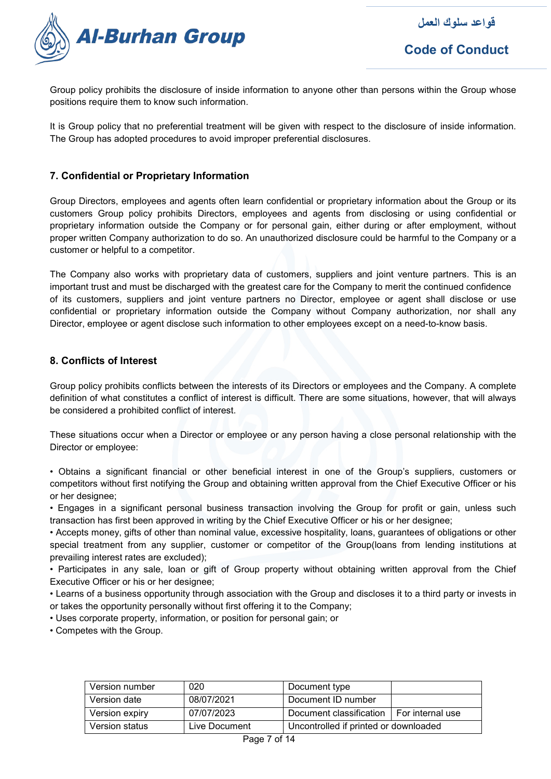

**Code of Conduct**

Group policy prohibits the disclosure of inside information to anyone other than persons within the Group whose positions require them to know such information.

It is Group policy that no preferential treatment will be given with respect to the disclosure of inside information. The Group has adopted procedures to avoid improper preferential disclosures.

## **7. Confidential or Proprietary Information**

Group Directors, employees and agents often learn confidential or proprietary information about the Group or its customers Group policy prohibits Directors, employees and agents from disclosing or using confidential or proprietary information outside the Company or for personal gain, either during or after employment, without proper written Company authorization to do so. An unauthorized disclosure could be harmful to the Company or a customer or helpful to a competitor.

The Company also works with proprietary data of customers, suppliers and joint venture partners. This is an important trust and must be discharged with the greatest care for the Company to merit the continued confidence of its customers, suppliers and joint venture partners no Director, employee or agent shall disclose or use confidential or proprietary information outside the Company without Company authorization, nor shall any Director, employee or agent disclose such information to other employees except on a need-to-know basis.

#### **8. Conflicts of Interest**

Group policy prohibits conflicts between the interests of its Directors or employees and the Company. A complete definition of what constitutes a conflict of interest is difficult. There are some situations, however, that will always be considered a prohibited conflict of interest.

These situations occur when a Director or employee or any person having a close personal relationship with the Director or employee:

• Obtains a significant financial or other beneficial interest in one of the Group's suppliers, customers or competitors without first notifying the Group and obtaining written approval from the Chief Executive Officer or his or her designee;

• Engages in a significant personal business transaction involving the Group for profit or gain, unless such transaction has first been approved in writing by the Chief Executive Officer or his or her designee;

• Accepts money, gifts of other than nominal value, excessive hospitality, loans, guarantees of obligations or other special treatment from any supplier, customer or competitor of the Group(loans from lending institutions at prevailing interest rates are excluded);

• Participates in any sale, loan or gift of Group property without obtaining written approval from the Chief Executive Officer or his or her designee;

• Learns of a business opportunity through association with the Group and discloses it to a third party or invests in or takes the opportunity personally without first offering it to the Company;

• Uses corporate property, information, or position for personal gain; or

• Competes with the Group.

| Version number | 020           | Document type                         |                    |
|----------------|---------------|---------------------------------------|--------------------|
| Version date   | 08/07/2021    | Document ID number                    |                    |
| Version expiry | 07/07/2023    | Document classification               | I For internal use |
| Version status | Live Document | Uncontrolled if printed or downloaded |                    |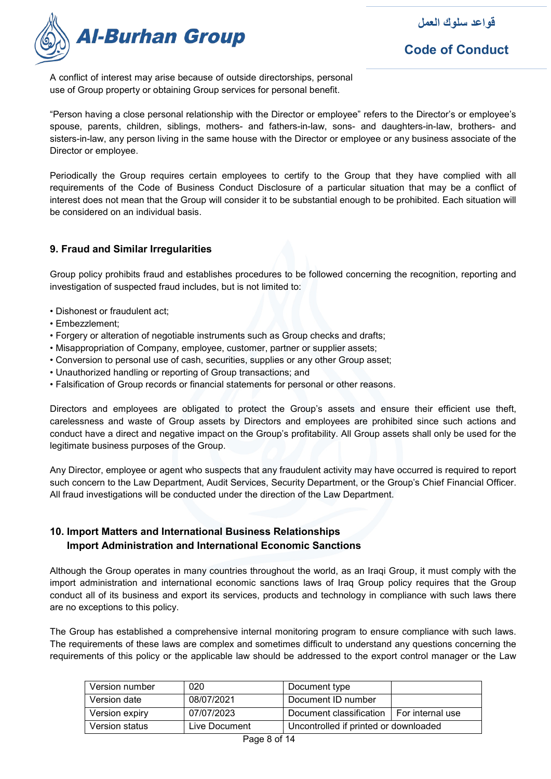

**Code of Conduct**

A conflict of interest may arise because of outside directorships, personal use of Group property or obtaining Group services for personal benefit.

"Person having a close personal relationship with the Director or employee" refers to the Director's or employee's spouse, parents, children, siblings, mothers- and fathers-in-law, sons- and daughters-in-law, brothers- and sisters-in-law, any person living in the same house with the Director or employee or any business associate of the Director or employee.

Periodically the Group requires certain employees to certify to the Group that they have complied with all requirements of the Code of Business Conduct Disclosure of a particular situation that may be a conflict of interest does not mean that the Group will consider it to be substantial enough to be prohibited. Each situation will be considered on an individual basis.

# **9. Fraud and Similar Irregularities**

Group policy prohibits fraud and establishes procedures to be followed concerning the recognition, reporting and investigation of suspected fraud includes, but is not limited to:

- Dishonest or fraudulent act;
- Embezzlement;
- Forgery or alteration of negotiable instruments such as Group checks and drafts;
- Misappropriation of Company, employee, customer, partner or supplier assets;
- Conversion to personal use of cash, securities, supplies or any other Group asset;
- Unauthorized handling or reporting of Group transactions; and
- Falsification of Group records or financial statements for personal or other reasons.

Directors and employees are obligated to protect the Group's assets and ensure their efficient use theft, carelessness and waste of Group assets by Directors and employees are prohibited since such actions and conduct have a direct and negative impact on the Group's profitability. All Group assets shall only be used for the legitimate business purposes of the Group.

Any Director, employee or agent who suspects that any fraudulent activity may have occurred is required to report such concern to the Law Department, Audit Services, Security Department, or the Group's Chief Financial Officer. All fraud investigations will be conducted under the direction of the Law Department.

# **10. Import Matters and International Business Relationships Import Administration and International Economic Sanctions**

Although the Group operates in many countries throughout the world, as an Iraqi Group, it must comply with the import administration and international economic sanctions laws of Iraq Group policy requires that the Group conduct all of its business and export its services, products and technology in compliance with such laws there are no exceptions to this policy.

The Group has established a comprehensive internal monitoring program to ensure compliance with such laws. The requirements of these laws are complex and sometimes difficult to understand any questions concerning the requirements of this policy or the applicable law should be addressed to the export control manager or the Law

| Version number | 020           | Document type                              |  |
|----------------|---------------|--------------------------------------------|--|
| Version date   | 08/07/2021    | Document ID number                         |  |
| Version expiry | 07/07/2023    | Document classification   For internal use |  |
| Version status | Live Document | Uncontrolled if printed or downloaded      |  |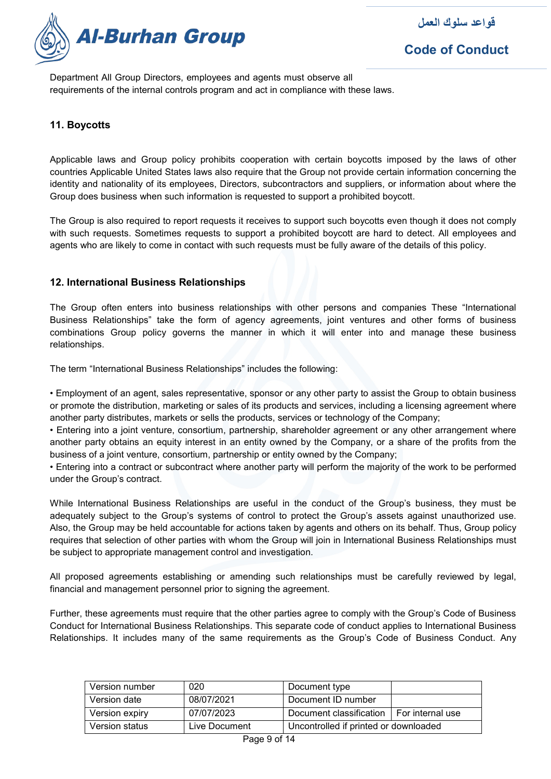

Department All Group Directors, employees and agents must observe all requirements of the internal controls program and act in compliance with these laws.

# **11. Boycotts**

Applicable laws and Group policy prohibits cooperation with certain boycotts imposed by the laws of other countries Applicable United States laws also require that the Group not provide certain information concerning the identity and nationality of its employees, Directors, subcontractors and suppliers, or information about where the Group does business when such information is requested to support a prohibited boycott.

The Group is also required to report requests it receives to support such boycotts even though it does not comply with such requests. Sometimes requests to support a prohibited boycott are hard to detect. All employees and agents who are likely to come in contact with such requests must be fully aware of the details of this policy.

# **12. International Business Relationships**

The Group often enters into business relationships with other persons and companies These "International Business Relationships" take the form of agency agreements, joint ventures and other forms of business combinations Group policy governs the manner in which it will enter into and manage these business relationships.

The term "International Business Relationships" includes the following:

• Employment of an agent, sales representative, sponsor or any other party to assist the Group to obtain business or promote the distribution, marketing or sales of its products and services, including a licensing agreement where another party distributes, markets or sells the products, services or technology of the Company;

• Entering into a joint venture, consortium, partnership, shareholder agreement or any other arrangement where another party obtains an equity interest in an entity owned by the Company, or a share of the profits from the business of a joint venture, consortium, partnership or entity owned by the Company;

• Entering into a contract or subcontract where another party will perform the majority of the work to be performed under the Group's contract.

While International Business Relationships are useful in the conduct of the Group's business, they must be adequately subject to the Group's systems of control to protect the Group's assets against unauthorized use. Also, the Group may be held accountable for actions taken by agents and others on its behalf. Thus, Group policy requires that selection of other parties with whom the Group will join in International Business Relationships must be subject to appropriate management control and investigation.

All proposed agreements establishing or amending such relationships must be carefully reviewed by legal, financial and management personnel prior to signing the agreement.

Further, these agreements must require that the other parties agree to comply with the Group's Code of Business Conduct for International Business Relationships. This separate code of conduct applies to International Business Relationships. It includes many of the same requirements as the Group's Code of Business Conduct. Any

| Version number | 020           | Document type                         |                    |
|----------------|---------------|---------------------------------------|--------------------|
| Version date   | 08/07/2021    | Document ID number                    |                    |
| Version expiry | 07/07/2023    | Document classification               | I For internal use |
| Version status | Live Document | Uncontrolled if printed or downloaded |                    |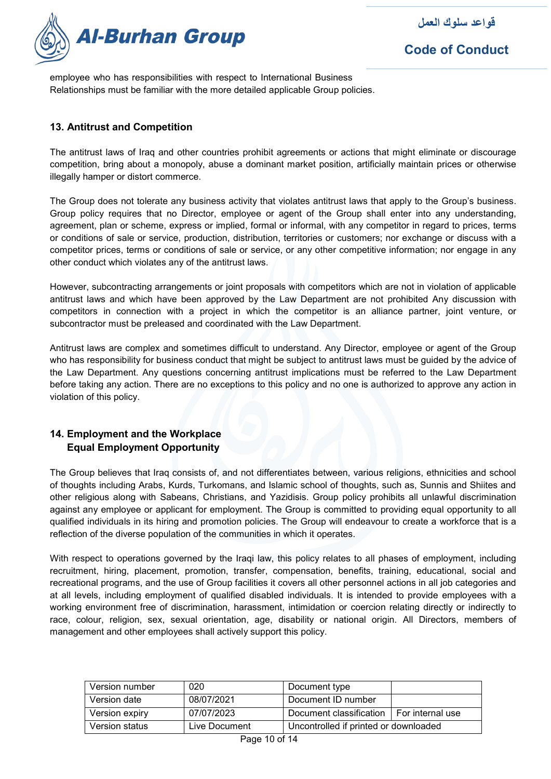

employee who has responsibilities with respect to International Business Relationships must be familiar with the more detailed applicable Group policies.

#### **13. Antitrust and Competition**

The antitrust laws of Iraq and other countries prohibit agreements or actions that might eliminate or discourage competition, bring about a monopoly, abuse a dominant market position, artificially maintain prices or otherwise illegally hamper or distort commerce.

The Group does not tolerate any business activity that violates antitrust laws that apply to the Group's business. Group policy requires that no Director, employee or agent of the Group shall enter into any understanding, agreement, plan or scheme, express or implied, formal or informal, with any competitor in regard to prices, terms or conditions of sale or service, production, distribution, territories or customers; nor exchange or discuss with a competitor prices, terms or conditions of sale or service, or any other competitive information; nor engage in any other conduct which violates any of the antitrust laws.

However, subcontracting arrangements or joint proposals with competitors which are not in violation of applicable antitrust laws and which have been approved by the Law Department are not prohibited Any discussion with competitors in connection with a project in which the competitor is an alliance partner, joint venture, or subcontractor must be preleased and coordinated with the Law Department.

Antitrust laws are complex and sometimes difficult to understand. Any Director, employee or agent of the Group who has responsibility for business conduct that might be subject to antitrust laws must be guided by the advice of the Law Department. Any questions concerning antitrust implications must be referred to the Law Department before taking any action. There are no exceptions to this policy and no one is authorized to approve any action in violation of this policy.

# **14. Employment and the Workplace Equal Employment Opportunity**

The Group believes that Iraq consists of, and not differentiates between, various religions, ethnicities and school of thoughts including Arabs, Kurds, Turkomans, and Islamic school of thoughts, such as, Sunnis and Shiites and other religious along with Sabeans, Christians, and Yazidisis. Group policy prohibits all unlawful discrimination against any employee or applicant for employment. The Group is committed to providing equal opportunity to all qualified individuals in its hiring and promotion policies. The Group will endeavour to create a workforce that is a reflection of the diverse population of the communities in which it operates.

With respect to operations governed by the Iraqi law, this policy relates to all phases of employment, including recruitment, hiring, placement, promotion, transfer, compensation, benefits, training, educational, social and recreational programs, and the use of Group facilities it covers all other personnel actions in all job categories and at all levels, including employment of qualified disabled individuals. It is intended to provide employees with a working environment free of discrimination, harassment, intimidation or coercion relating directly or indirectly to race, colour, religion, sex, sexual orientation, age, disability or national origin. All Directors, members of management and other employees shall actively support this policy.

| Version number | 020           | Document type                         |                    |
|----------------|---------------|---------------------------------------|--------------------|
| Version date   | 08/07/2021    | Document ID number                    |                    |
| Version expiry | 07/07/2023    | Document classification               | I For internal use |
| Version status | Live Document | Uncontrolled if printed or downloaded |                    |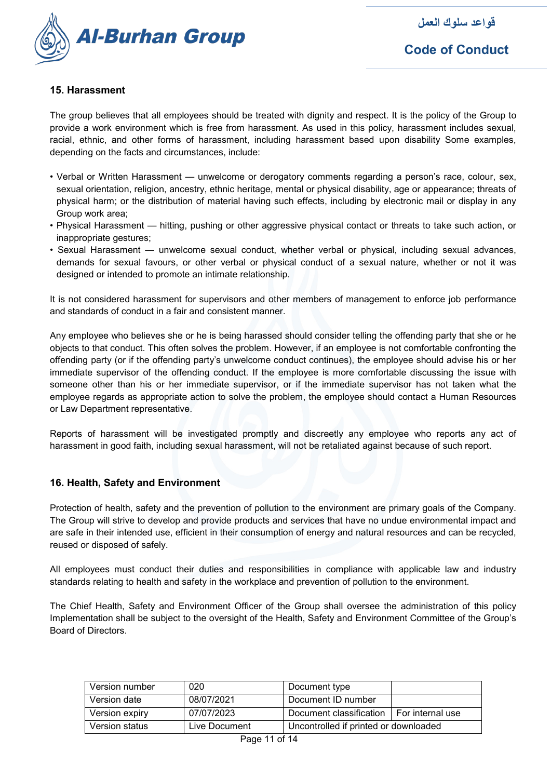

### **15. Harassment**

The group believes that all employees should be treated with dignity and respect. It is the policy of the Group to provide a work environment which is free from harassment. As used in this policy, harassment includes sexual, racial, ethnic, and other forms of harassment, including harassment based upon disability Some examples, depending on the facts and circumstances, include:

- Verbal or Written Harassment unwelcome or derogatory comments regarding a person's race, colour, sex, sexual orientation, religion, ancestry, ethnic heritage, mental or physical disability, age or appearance; threats of physical harm; or the distribution of material having such effects, including by electronic mail or display in any Group work area;
- Physical Harassment hitting, pushing or other aggressive physical contact or threats to take such action, or inappropriate gestures;
- Sexual Harassment unwelcome sexual conduct, whether verbal or physical, including sexual advances, demands for sexual favours, or other verbal or physical conduct of a sexual nature, whether or not it was designed or intended to promote an intimate relationship.

It is not considered harassment for supervisors and other members of management to enforce job performance and standards of conduct in a fair and consistent manner.

Any employee who believes she or he is being harassed should consider telling the offending party that she or he objects to that conduct. This often solves the problem. However, if an employee is not comfortable confronting the offending party (or if the offending party's unwelcome conduct continues), the employee should advise his or her immediate supervisor of the offending conduct. If the employee is more comfortable discussing the issue with someone other than his or her immediate supervisor, or if the immediate supervisor has not taken what the employee regards as appropriate action to solve the problem, the employee should contact a Human Resources or Law Department representative.

Reports of harassment will be investigated promptly and discreetly any employee who reports any act of harassment in good faith, including sexual harassment, will not be retaliated against because of such report.

#### **16. Health, Safety and Environment**

Protection of health, safety and the prevention of pollution to the environment are primary goals of the Company. The Group will strive to develop and provide products and services that have no undue environmental impact and are safe in their intended use, efficient in their consumption of energy and natural resources and can be recycled, reused or disposed of safely.

All employees must conduct their duties and responsibilities in compliance with applicable law and industry standards relating to health and safety in the workplace and prevention of pollution to the environment.

The Chief Health, Safety and Environment Officer of the Group shall oversee the administration of this policy Implementation shall be subject to the oversight of the Health, Safety and Environment Committee of the Group's Board of Directors.

| Version number | 020           | Document type                         |                    |
|----------------|---------------|---------------------------------------|--------------------|
| Version date   | 08/07/2021    | Document ID number                    |                    |
| Version expiry | 07/07/2023    | Document classification               | I For internal use |
| Version status | Live Document | Uncontrolled if printed or downloaded |                    |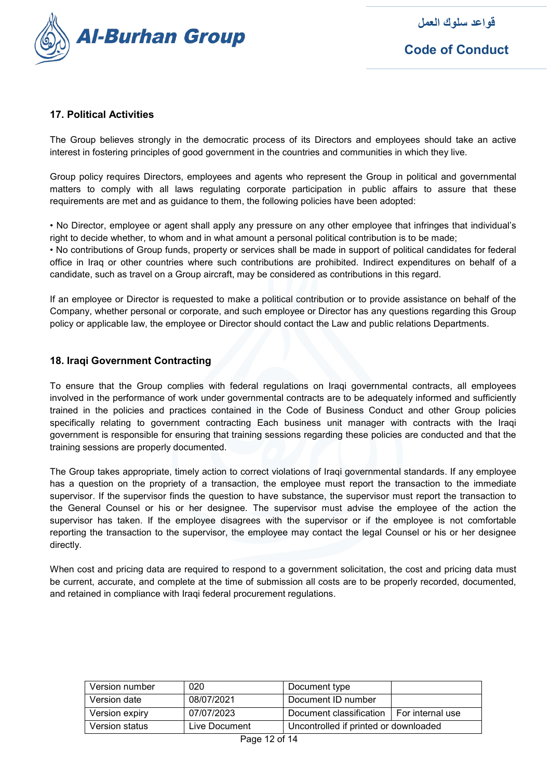

# **17. Political Activities**

The Group believes strongly in the democratic process of its Directors and employees should take an active interest in fostering principles of good government in the countries and communities in which they live.

Group policy requires Directors, employees and agents who represent the Group in political and governmental matters to comply with all laws regulating corporate participation in public affairs to assure that these requirements are met and as guidance to them, the following policies have been adopted:

• No Director, employee or agent shall apply any pressure on any other employee that infringes that individual's right to decide whether, to whom and in what amount a personal political contribution is to be made;

• No contributions of Group funds, property or services shall be made in support of political candidates for federal office in Iraq or other countries where such contributions are prohibited. Indirect expenditures on behalf of a candidate, such as travel on a Group aircraft, may be considered as contributions in this regard.

If an employee or Director is requested to make a political contribution or to provide assistance on behalf of the Company, whether personal or corporate, and such employee or Director has any questions regarding this Group policy or applicable law, the employee or Director should contact the Law and public relations Departments.

#### **18. Iraqi Government Contracting**

To ensure that the Group complies with federal regulations on Iraqi governmental contracts, all employees involved in the performance of work under governmental contracts are to be adequately informed and sufficiently trained in the policies and practices contained in the Code of Business Conduct and other Group policies specifically relating to government contracting Each business unit manager with contracts with the Iraqi government is responsible for ensuring that training sessions regarding these policies are conducted and that the training sessions are properly documented.

The Group takes appropriate, timely action to correct violations of Iraqi governmental standards. If any employee has a question on the propriety of a transaction, the employee must report the transaction to the immediate supervisor. If the supervisor finds the question to have substance, the supervisor must report the transaction to the General Counsel or his or her designee. The supervisor must advise the employee of the action the supervisor has taken. If the employee disagrees with the supervisor or if the employee is not comfortable reporting the transaction to the supervisor, the employee may contact the legal Counsel or his or her designee directly.

When cost and pricing data are required to respond to a government solicitation, the cost and pricing data must be current, accurate, and complete at the time of submission all costs are to be properly recorded, documented, and retained in compliance with Iraqi federal procurement regulations.

| Version number | 020           | Document type                         |                    |
|----------------|---------------|---------------------------------------|--------------------|
| Version date   | 08/07/2021    | Document ID number                    |                    |
| Version expiry | 07/07/2023    | Document classification               | I For internal use |
| Version status | Live Document | Uncontrolled if printed or downloaded |                    |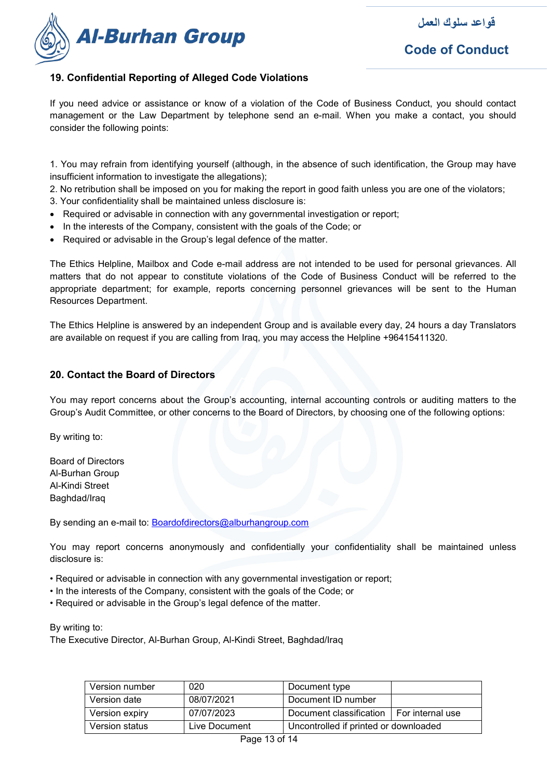

# **19. Confidential Reporting of Alleged Code Violations**

If you need advice or assistance or know of a violation of the Code of Business Conduct, you should contact management or the Law Department by telephone send an e-mail. When you make a contact, you should consider the following points:

1. You may refrain from identifying yourself (although, in the absence of such identification, the Group may have insufficient information to investigate the allegations);

2. No retribution shall be imposed on you for making the report in good faith unless you are one of the violators;

- 3. Your confidentiality shall be maintained unless disclosure is:
- Required or advisable in connection with any governmental investigation or report;
- In the interests of the Company, consistent with the goals of the Code; or
- Required or advisable in the Group's legal defence of the matter.

The Ethics Helpline, Mailbox and Code e-mail address are not intended to be used for personal grievances. All matters that do not appear to constitute violations of the Code of Business Conduct will be referred to the appropriate department; for example, reports concerning personnel grievances will be sent to the Human Resources Department.

The Ethics Helpline is answered by an independent Group and is available every day, 24 hours a day Translators are available on request if you are calling from Iraq, you may access the Helpline +96415411320.

#### **20. Contact the Board of Directors**

You may report concerns about the Group's accounting, internal accounting controls or auditing matters to the Group's Audit Committee, or other concerns to the Board of Directors, by choosing one of the following options:

By writing to:

Board of Directors Al-Burhan Group Al-Kindi Street Baghdad/Iraq

By sending an e-mail to: [Boardofdirectors@alburhangroup.com](mailto:Boardofdirectors@alburhangroup.com)

You may report concerns anonymously and confidentially your confidentiality shall be maintained unless disclosure is:

- Required or advisable in connection with any governmental investigation or report;
- In the interests of the Company, consistent with the goals of the Code; or
- Required or advisable in the Group's legal defence of the matter.

By writing to:

The Executive Director, Al-Burhan Group, Al-Kindi Street, Baghdad/Iraq

| Version number | 020           | Document type                         |                    |
|----------------|---------------|---------------------------------------|--------------------|
| Version date   | 08/07/2021    | Document ID number                    |                    |
| Version expiry | 07/07/2023    | Document classification               | I For internal use |
| Version status | Live Document | Uncontrolled if printed or downloaded |                    |